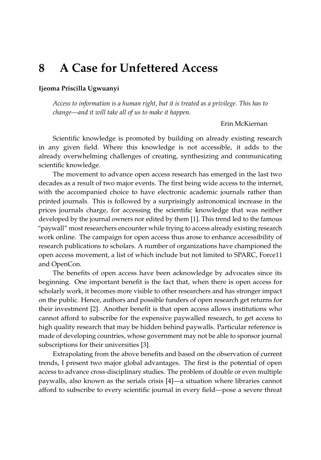## **8 A Case for Unfettered Access**

## **Ijeoma Priscilla Ugwuanyi**

*Access to information is a human right, but it is treated as a privilege. This has to change—and it will take all of us to make it happen.*

## Erin McKiernan

Scientific knowledge is promoted by building on already existing research in any given field. Where this knowledge is not accessible, it adds to the already overwhelming challenges of creating, synthesizing and communicating scientific knowledge.

The movement to advance open access research has emerged in the last two decades as a result of two major events. The first being wide access to the internet, with the accompanied choice to have electronic academic journals rather than printed journals. This is followed by a surprisingly astronomical increase in the prices journals charge, for accessing the scientific knowledge that was neither developed by the journal owners nor edited by them [\[1\]](#page-2-0). This trend led to the famous "paywall" most researchers encounter while trying to access already existing research work online. The campaign for open access thus arose to enhance accessibility of research publications to scholars. A number of organizations have championed the open access movement, a list of which include but not limited to SPARC, Force11 and OpenCon.

The benefits of open access have been acknowledge by advocates since its beginning. One important benefit is the fact that, when there is open access for scholarly work, it becomes more visible to other researchers and has stronger impact on the public. Hence, authors and possible funders of open research get returns for their investment [\[2\]](#page-2-1). Another benefit is that open access allows institutions who cannot afford to subscribe for the expensive paywalled research, to get access to high quality research that may be hidden behind paywalls. Particular reference is made of developing countries, whose government may not be able to sponsor journal subscriptions for their universities [\[3\]](#page-2-2).

Extrapolating from the above benefits and based on the observation of current trends, I present two major global advantages. The first is the potential of open access to advance cross-disciplinary studies. The problem of double or even multiple paywalls, also known as the serials crisis [\[4\]](#page-2-3)—a situation where libraries cannot afford to subscribe to every scientific journal in every field—pose a severe threat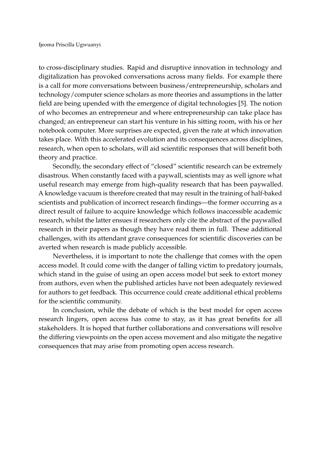to cross-disciplinary studies. Rapid and disruptive innovation in technology and digitalization has provoked conversations across many fields. For example there is a call for more conversations between business/entrepreneurship, scholars and technology/computer science scholars as more theories and assumptions in the latter field are being upended with the emergence of digital technologies [\[5\]](#page-2-4). The notion of who becomes an entrepreneur and where entrepreneurship can take place has changed; an entrepreneur can start his venture in his sitting room, with his or her notebook computer. More surprises are expected, given the rate at which innovation takes place. With this accelerated evolution and its consequences across disciplines, research, when open to scholars, will aid scientific responses that will benefit both theory and practice.

Secondly, the secondary effect of "closed" scientific research can be extremely disastrous. When constantly faced with a paywall, scientists may as well ignore what useful research may emerge from high-quality research that has been paywalled. A knowledge vacuum is therefore created that may result in the training of half-baked scientists and publication of incorrect research findings—the former occurring as a direct result of failure to acquire knowledge which follows inaccessible academic research, whilst the latter ensues if researchers only cite the abstract of the paywalled research in their papers as though they have read them in full. These additional challenges, with its attendant grave consequences for scientific discoveries can be averted when research is made publicly accessible.

Nevertheless, it is important to note the challenge that comes with the open access model. It could come with the danger of falling victim to predatory journals, which stand in the guise of using an open access model but seek to extort money from authors, even when the published articles have not been adequately reviewed for authors to get feedback. This occurrence could create additional ethical problems for the scientific community.

In conclusion, while the debate of which is the best model for open access research lingers, open access has come to stay, as it has great benefits for all stakeholders. It is hoped that further collaborations and conversations will resolve the differing viewpoints on the open access movement and also mitigate the negative consequences that may arise from promoting open access research.